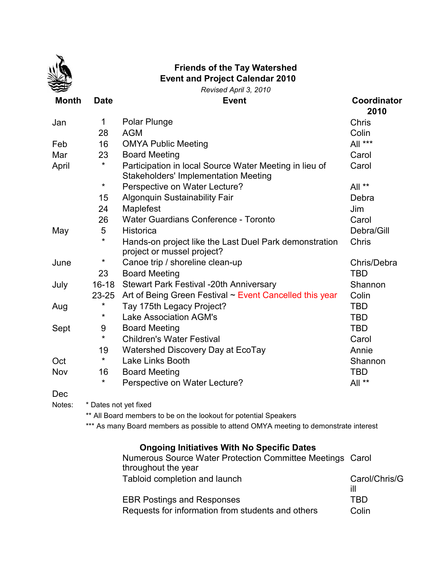

## **Event and Project Calendar 2010 Friends of the Tay Watershed**

*Revised April 3, 2010*

| <b>Month</b> | <b>Date</b> | <b>Event</b>                                                                                          | Coordinator<br>2010 |
|--------------|-------------|-------------------------------------------------------------------------------------------------------|---------------------|
| Jan          | 1           | Polar Plunge                                                                                          | <b>Chris</b>        |
|              | 28          | <b>AGM</b>                                                                                            | Colin               |
| Feb          | 16          | <b>OMYA Public Meeting</b>                                                                            | All ***             |
| Mar          | 23          | <b>Board Meeting</b>                                                                                  | Carol               |
| April        | $\star$     | Participation in local Source Water Meeting in lieu of<br><b>Stakeholders' Implementation Meeting</b> | Carol               |
|              | $\star$     | Perspective on Water Lecture?                                                                         | All **              |
|              | 15          | Algonquin Sustainability Fair                                                                         | Debra               |
|              | 24          | Maplefest                                                                                             | Jim                 |
|              | 26          | Water Guardians Conference - Toronto                                                                  | Carol               |
| May          | 5           | <b>Historica</b>                                                                                      | Debra/Gill          |
|              | $\star$     | Hands-on project like the Last Duel Park demonstration<br>project or mussel project?                  | Chris               |
| June         | $\star$     | Canoe trip / shoreline clean-up                                                                       | Chris/Debra         |
|              | 23          | <b>Board Meeting</b>                                                                                  | <b>TBD</b>          |
| July         | $16 - 18$   | <b>Stewart Park Festival -20th Anniversary</b>                                                        | Shannon             |
|              | $23 - 25$   | Art of Being Green Festival ~ Event Cancelled this year                                               | Colin               |
| Aug          | $\star$     | Tay 175th Legacy Project?                                                                             | <b>TBD</b>          |
|              | $\star$     | <b>Lake Association AGM's</b>                                                                         | <b>TBD</b>          |
| Sept         | 9           | <b>Board Meeting</b>                                                                                  | TBD                 |
|              | $\star$     | <b>Children's Water Festival</b>                                                                      | Carol               |
|              | 19          | Watershed Discovery Day at EcoTay                                                                     | Annie               |
| Oct          | $\star$     | Lake Links Booth                                                                                      | Shannon             |
| Nov          | 16          | <b>Board Meeting</b>                                                                                  | <b>TBD</b>          |
|              | $\star$     | Perspective on Water Lecture?                                                                         | All **              |
| Dec          |             |                                                                                                       |                     |

Notes: \* Dates not yet fixed

\*\* All Board members to be on the lookout for potential Speakers

\*\*\* As many Board members as possible to attend OMYA meeting to demonstrate interest

## **Ongoing Initiatives With No Specific Dates**

| Numerous Source Water Protection Committee Meetings Carol |               |
|-----------------------------------------------------------|---------------|
| throughout the year                                       |               |
| Tabloid completion and launch                             | Carol/Chris/G |
|                                                           | ill           |
| <b>EBR Postings and Responses</b>                         | TRD           |
| Requests for information from students and others         | Colin         |